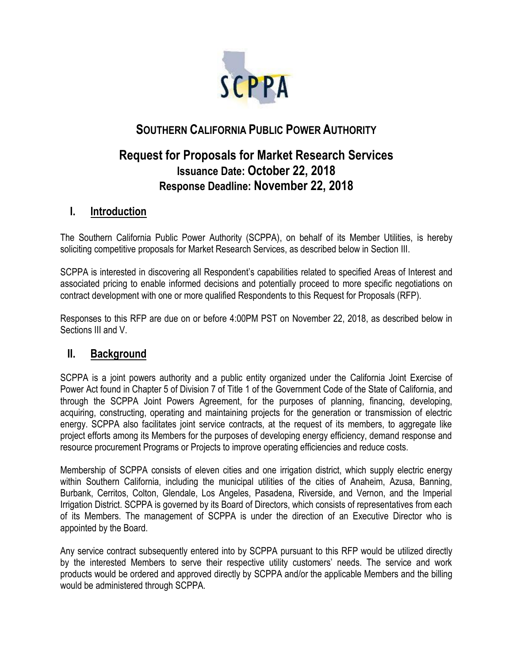

# **SOUTHERN CALIFORNIA PUBLIC POWER AUTHORITY**

# **Request for Proposals for Market Research Services Issuance Date: October 22, 2018 Response Deadline: November 22, 2018**

## **I. Introduction**

The Southern California Public Power Authority (SCPPA), on behalf of its Member Utilities, is hereby soliciting competitive proposals for Market Research Services, as described below in Section III.

SCPPA is interested in discovering all Respondent's capabilities related to specified Areas of Interest and associated pricing to enable informed decisions and potentially proceed to more specific negotiations on contract development with one or more qualified Respondents to this Request for Proposals (RFP).

Responses to this RFP are due on or before 4:00PM PST on November 22, 2018, as described below in Sections III and V.

### **II. Background**

SCPPA is a joint powers authority and a public entity organized under the California Joint Exercise of Power Act found in Chapter 5 of Division 7 of Title 1 of the Government Code of the State of California, and through the SCPPA Joint Powers Agreement, for the purposes of planning, financing, developing, acquiring, constructing, operating and maintaining projects for the generation or transmission of electric energy. SCPPA also facilitates joint service contracts, at the request of its members, to aggregate like project efforts among its Members for the purposes of developing energy efficiency, demand response and resource procurement Programs or Projects to improve operating efficiencies and reduce costs.

Membership of SCPPA consists of eleven cities and one irrigation district, which supply electric energy within Southern California, including the municipal utilities of the cities of Anaheim, Azusa, Banning, Burbank, Cerritos, Colton, Glendale, Los Angeles, Pasadena, Riverside, and Vernon, and the Imperial Irrigation District. SCPPA is governed by its Board of Directors, which consists of representatives from each of its Members. The management of SCPPA is under the direction of an Executive Director who is appointed by the Board.

Any service contract subsequently entered into by SCPPA pursuant to this RFP would be utilized directly by the interested Members to serve their respective utility customers' needs. The service and work products would be ordered and approved directly by SCPPA and/or the applicable Members and the billing would be administered through SCPPA.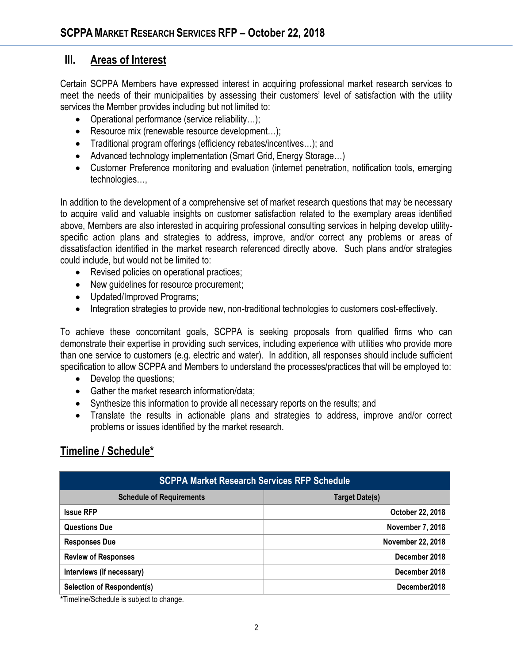#### **III. Areas of Interest**

Certain SCPPA Members have expressed interest in acquiring professional market research services to meet the needs of their municipalities by assessing their customers' level of satisfaction with the utility services the Member provides including but not limited to:

- Operational performance (service reliability...);
- Resource mix (renewable resource development...);
- Traditional program offerings (efficiency rebates/incentives…); and
- Advanced technology implementation (Smart Grid, Energy Storage...)
- Customer Preference monitoring and evaluation (internet penetration, notification tools, emerging technologies…,

In addition to the development of a comprehensive set of market research questions that may be necessary to acquire valid and valuable insights on customer satisfaction related to the exemplary areas identified above, Members are also interested in acquiring professional consulting services in helping develop utilityspecific action plans and strategies to address, improve, and/or correct any problems or areas of dissatisfaction identified in the market research referenced directly above. Such plans and/or strategies could include, but would not be limited to:

- Revised policies on operational practices;
- New guidelines for resource procurement;
- Updated/Improved Programs;
- Integration strategies to provide new, non-traditional technologies to customers cost-effectively.

To achieve these concomitant goals, SCPPA is seeking proposals from qualified firms who can demonstrate their expertise in providing such services, including experience with utilities who provide more than one service to customers (e.g. electric and water). In addition, all responses should include sufficient specification to allow SCPPA and Members to understand the processes/practices that will be employed to:

- Develop the questions;
- Gather the market research information/data:
- Synthesize this information to provide all necessary reports on the results; and
- Translate the results in actionable plans and strategies to address, improve and/or correct problems or issues identified by the market research.

# **Timeline / Schedule\***

| <b>SCPPA Market Research Services RFP Schedule</b> |                          |  |  |  |
|----------------------------------------------------|--------------------------|--|--|--|
| <b>Schedule of Requirements</b>                    | <b>Target Date(s)</b>    |  |  |  |
| <b>Issue RFP</b>                                   | October 22, 2018         |  |  |  |
| Questions Due                                      | November 7, 2018         |  |  |  |
| <b>Responses Due</b>                               | <b>November 22, 2018</b> |  |  |  |
| <b>Review of Responses</b>                         | December 2018            |  |  |  |
| Interviews (if necessary)                          | December 2018            |  |  |  |
| <b>Selection of Respondent(s)</b>                  | December2018             |  |  |  |

**\***Timeline/Schedule is subject to change.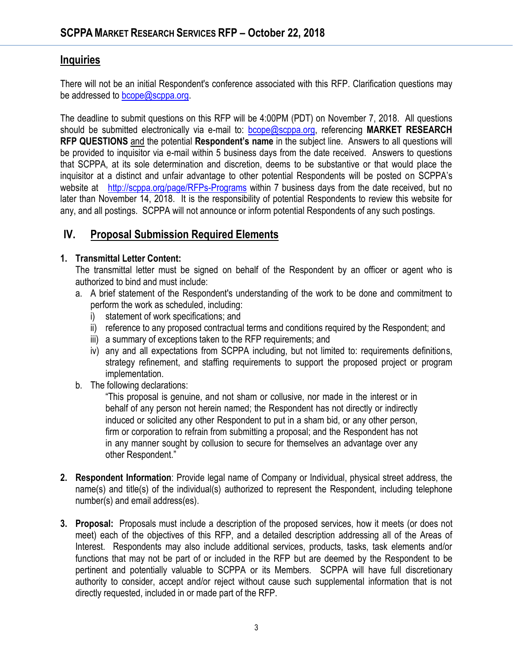#### **Inquiries**

There will not be an initial Respondent's conference associated with this RFP. Clarification questions may be addressed to [bcope@scppa.org.](mailto:bcope@scppa.org)

The deadline to submit questions on this RFP will be 4:00PM (PDT) on November 7, 2018. All questions should be submitted electronically via e-mail to: [bcope@scppa.org,](file://///app-server/data/RFPs_RFQs_RFIs/Public%20Benefits%20Committee/Paperless%20Rebate%20Automation/RFP/bcope@scppa.org) referencing **MARKET RESEARCH RFP QUESTIONS** and the potential **Respondent's name** in the subject line. Answers to all questions will be provided to inquisitor via e-mail within 5 business days from the date received. Answers to questions that SCPPA, at its sole determination and discretion, deems to be substantive or that would place the inquisitor at a distinct and unfair advantage to other potential Respondents will be posted on SCPPA's website at http://scppa.org/page/RFPs-Programs within 7 business days from the date received, but no later than November 14, 2018. It is the responsibility of potential Respondents to review this website for any, and all postings. SCPPA will not announce or inform potential Respondents of any such postings.

### **IV. Proposal Submission Required Elements**

#### **1. Transmittal Letter Content:**

The transmittal letter must be signed on behalf of the Respondent by an officer or agent who is authorized to bind and must include:

- a. A brief statement of the Respondent's understanding of the work to be done and commitment to perform the work as scheduled, including:
	- i) statement of work specifications; and
	- ii) reference to any proposed contractual terms and conditions required by the Respondent; and
	- iii) a summary of exceptions taken to the RFP requirements; and
	- iv) any and all expectations from SCPPA including, but not limited to: requirements definitions, strategy refinement, and staffing requirements to support the proposed project or program implementation.
- b. The following declarations:

"This proposal is genuine, and not sham or collusive, nor made in the interest or in behalf of any person not herein named; the Respondent has not directly or indirectly induced or solicited any other Respondent to put in a sham bid, or any other person, firm or corporation to refrain from submitting a proposal; and the Respondent has not in any manner sought by collusion to secure for themselves an advantage over any other Respondent."

- **2. Respondent Information**: Provide legal name of Company or Individual, physical street address, the name(s) and title(s) of the individual(s) authorized to represent the Respondent, including telephone number(s) and email address(es).
- **3. Proposal:** Proposals must include a description of the proposed services, how it meets (or does not meet) each of the objectives of this RFP, and a detailed description addressing all of the Areas of Interest. Respondents may also include additional services, products, tasks, task elements and/or functions that may not be part of or included in the RFP but are deemed by the Respondent to be pertinent and potentially valuable to SCPPA or its Members. SCPPA will have full discretionary authority to consider, accept and/or reject without cause such supplemental information that is not directly requested, included in or made part of the RFP.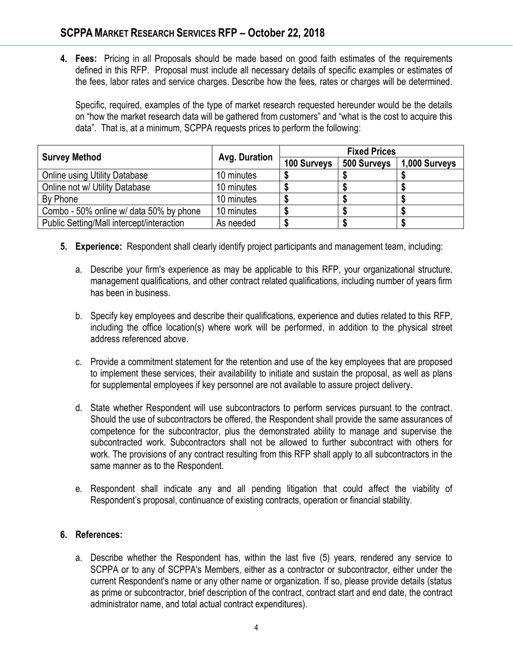**4. Fees:** Pricing in all Proposals should be made based on good faith estimates of the requirements defined in this RFP. Proposal must include all necessary details of specific examples or estimates of the fees, labor rates and service charges. Describe how the fees, rates or charges will be determined.

Specific, required, examples of the type of market research requested hereunder would be the details on "how the market research data will be gathered from customers" and "what is the cost to acquire this data". That is, at a minimum, SCPPA requests prices to perform the following:

| <b>Survey Method</b>                      | <b>Avg. Duration</b> | <b>Fixed Prices</b> |             |               |
|-------------------------------------------|----------------------|---------------------|-------------|---------------|
|                                           |                      | 100 Surveys         | 500 Surveys | 1,000 Surveys |
| <b>Online using Utility Database</b>      | 10 minutes           |                     |             |               |
| Online not w/ Utility Database            | 10 minutes           |                     |             |               |
| By Phone                                  | 10 minutes           |                     |             |               |
| Combo - 50% online w/ data 50% by phone   | 10 minutes           |                     |             |               |
| Public Setting/Mall intercept/interaction | As needed            |                     |             |               |

- **5. Experience:** Respondent shall clearly identify project participants and management team, including:
	- a. Describe your firm's experience as may be applicable to this RFP, your organizational structure, management qualifications, and other contract related qualifications, including number of years firm has been in business.
	- b. Specify key employees and describe their qualifications, experience and duties related to this RFP, including the office location(s) where work will be performed, in addition to the physical street address referenced above.
	- c. Provide a commitment statement for the retention and use of the key employees that are proposed to implement these services, their availability to initiate and sustain the proposal, as well as plans for supplemental employees if key personnel are not available to assure project delivery.
	- d. State whether Respondent will use subcontractors to perform services pursuant to the contract. Should the use of subcontractors be offered, the Respondent shall provide the same assurances of competence for the subcontractor, plus the demonstrated ability to manage and supervise the subcontracted work. Subcontractors shall not be allowed to further subcontract with others for work. The provisions of any contract resulting from this RFP shall apply to all subcontractors in the same manner as to the Respondent.
	- e. Respondent shall indicate any and all pending litigation that could affect the viability of Respondent's proposal, continuance of existing contracts, operation or financial stability.

#### **6. References:**

a. Describe whether the Respondent has, within the last five (5) years, rendered any service to SCPPA or to any of SCPPA's Members, either as a contractor or subcontractor, either under the current Respondent's name or any other name or organization. If so, please provide details (status as prime or subcontractor, brief description of the contract, contract start and end date, the contract administrator name, and total actual contract expenditures).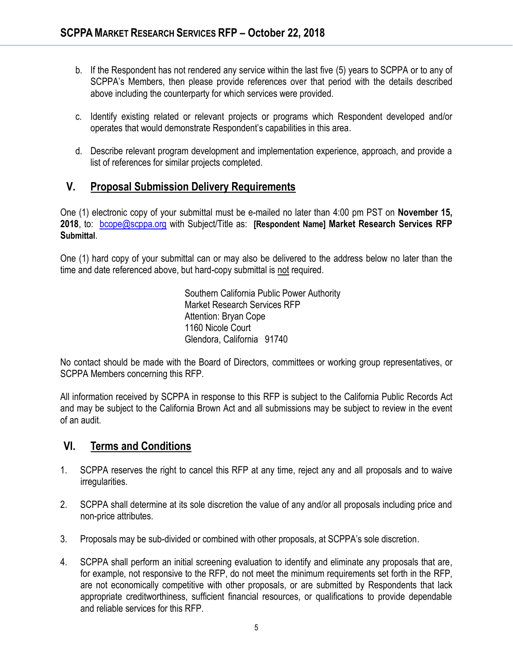- b. If the Respondent has not rendered any service within the last five (5) years to SCPPA or to any of SCPPA's Members, then please provide references over that period with the details described above including the counterparty for which services were provided.
- c. Identify existing related or relevant projects or programs which Respondent developed and/or operates that would demonstrate Respondent's capabilities in this area.
- d. Describe relevant program development and implementation experience, approach, and provide a list of references for similar projects completed.

### **V. Proposal Submission Delivery Requirements**

One (1) electronic copy of your submittal must be e-mailed no later than 4:00 pm PST on **November 15, 2018**, to: [bcope@scppa.org](mailto:bcope@scppa.org) with Subject/Title as: **[Respondent Name] Market Research Services RFP Submittal**.

One (1) hard copy of your submittal can or may also be delivered to the address below no later than the time and date referenced above, but hard-copy submittal is not required.

> Southern California Public Power Authority Market Research Services RFP Attention: Bryan Cope 1160 Nicole Court Glendora, California 91740

No contact should be made with the Board of Directors, committees or working group representatives, or SCPPA Members concerning this RFP.

All information received by SCPPA in response to this RFP is subject to the California Public Records Act and may be subject to the California Brown Act and all submissions may be subject to review in the event of an audit.

# **VI. Terms and Conditions**

- 1. SCPPA reserves the right to cancel this RFP at any time, reject any and all proposals and to waive irregularities.
- 2. SCPPA shall determine at its sole discretion the value of any and/or all proposals including price and non-price attributes.
- 3. Proposals may be sub-divided or combined with other proposals, at SCPPA's sole discretion.
- 4. SCPPA shall perform an initial screening evaluation to identify and eliminate any proposals that are, for example, not responsive to the RFP, do not meet the minimum requirements set forth in the RFP, are not economically competitive with other proposals, or are submitted by Respondents that lack appropriate creditworthiness, sufficient financial resources, or qualifications to provide dependable and reliable services for this RFP.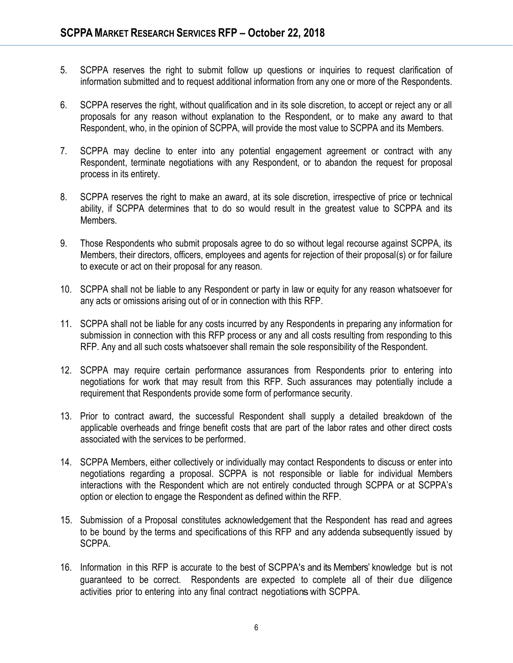- 5. SCPPA reserves the right to submit follow up questions or inquiries to request clarification of information submitted and to request additional information from any one or more of the Respondents.
- 6. SCPPA reserves the right, without qualification and in its sole discretion, to accept or reject any or all proposals for any reason without explanation to the Respondent, or to make any award to that Respondent, who, in the opinion of SCPPA, will provide the most value to SCPPA and its Members.
- 7. SCPPA may decline to enter into any potential engagement agreement or contract with any Respondent, terminate negotiations with any Respondent, or to abandon the request for proposal process in its entirety.
- 8. SCPPA reserves the right to make an award, at its sole discretion, irrespective of price or technical ability, if SCPPA determines that to do so would result in the greatest value to SCPPA and its Members.
- 9. Those Respondents who submit proposals agree to do so without legal recourse against SCPPA, its Members, their directors, officers, employees and agents for rejection of their proposal(s) or for failure to execute or act on their proposal for any reason.
- 10. SCPPA shall not be liable to any Respondent or party in law or equity for any reason whatsoever for any acts or omissions arising out of or in connection with this RFP.
- 11. SCPPA shall not be liable for any costs incurred by any Respondents in preparing any information for submission in connection with this RFP process or any and all costs resulting from responding to this RFP. Any and all such costs whatsoever shall remain the sole responsibility of the Respondent.
- 12. SCPPA may require certain performance assurances from Respondents prior to entering into negotiations for work that may result from this RFP. Such assurances may potentially include a requirement that Respondents provide some form of performance security.
- 13. Prior to contract award, the successful Respondent shall supply a detailed breakdown of the applicable overheads and fringe benefit costs that are part of the labor rates and other direct costs associated with the services to be performed.
- 14. SCPPA Members, either collectively or individually may contact Respondents to discuss or enter into negotiations regarding a proposal. SCPPA is not responsible or liable for individual Members interactions with the Respondent which are not entirely conducted through SCPPA or at SCPPA's option or election to engage the Respondent as defined within the RFP.
- 15. Submission of a Proposal constitutes acknowledgement that the Respondent has read and agrees to be bound by the terms and specifications of this RFP and any addenda subsequently issued by SCPPA.
- 16. Information in this RFP is accurate to the best of SCPPA's and its Members' knowledge but is not guaranteed to be correct. Respondents are expected to complete all of their due diligence activities prior to entering into any final contract negotiationswith SCPPA.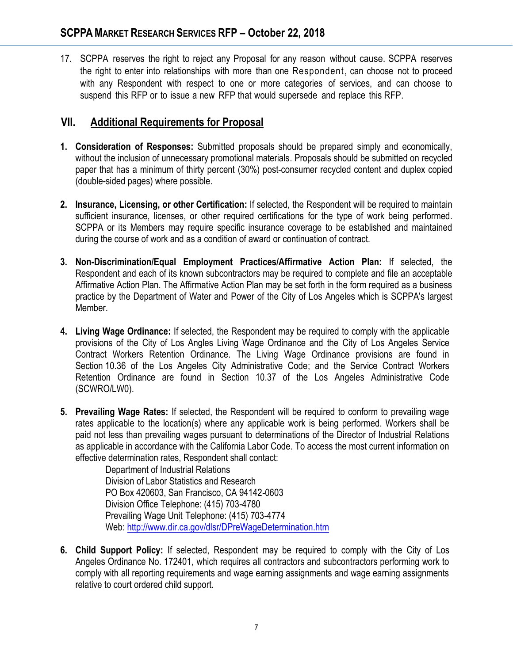17. SCPPA reserves the right to reject any Proposal for any reason without cause. SCPPA reserves the right to enter into relationships with more than one Respondent, can choose not to proceed with any Respondent with respect to one or more categories of services, and can choose to suspend this RFP or to issue a new RFP that would supersede and replace this RFP.

#### **VII. Additional Requirements for Proposal**

- **1. Consideration of Responses:** Submitted proposals should be prepared simply and economically, without the inclusion of unnecessary promotional materials. Proposals should be submitted on recycled paper that has a minimum of thirty percent (30%) post-consumer recycled content and duplex copied (double-sided pages) where possible.
- **2. Insurance, Licensing, or other Certification:** If selected, the Respondent will be required to maintain sufficient insurance, licenses, or other required certifications for the type of work being performed. SCPPA or its Members may require specific insurance coverage to be established and maintained during the course of work and as a condition of award or continuation of contract.
- **3. Non-Discrimination/Equal Employment Practices/Affirmative Action Plan:** If selected, the Respondent and each of its known subcontractors may be required to complete and file an acceptable Affirmative Action Plan. The Affirmative Action Plan may be set forth in the form required as a business practice by the Department of Water and Power of the City of Los Angeles which is SCPPA's largest Member.
- **4. Living Wage Ordinance:** If selected, the Respondent may be required to comply with the applicable provisions of the City of Los Angles Living Wage Ordinance and the City of Los Angeles Service Contract Workers Retention Ordinance. The Living Wage Ordinance provisions are found in Section 10.36 of the Los Angeles City Administrative Code; and the Service Contract Workers Retention Ordinance are found in Section 10.37 of the Los Angeles Administrative Code (SCWRO/LW0).
- **5. Prevailing Wage Rates:** If selected, the Respondent will be required to conform to prevailing wage rates applicable to the location(s) where any applicable work is being performed. Workers shall be paid not less than prevailing wages pursuant to determinations of the Director of Industrial Relations as applicable in accordance with the California Labor Code. To access the most current information on effective determination rates, Respondent shall contact:

Department of Industrial Relations Division of Labor Statistics and Research PO Box 420603, San Francisco, CA 94142-0603 Division Office Telephone: (415) 703-4780 Prevailing Wage Unit Telephone: (415) 703-4774 Web[: http://www.dir.ca.gov/dlsr/DPreWageDetermination.htm](http://www.dir.ca.gov/dlsr/DPreWageDetermination.htm)

**6. Child Support Policy:** If selected, Respondent may be required to comply with the City of Los Angeles Ordinance No. 172401, which requires all contractors and subcontractors performing work to comply with all reporting requirements and wage earning assignments and wage earning assignments relative to court ordered child support.